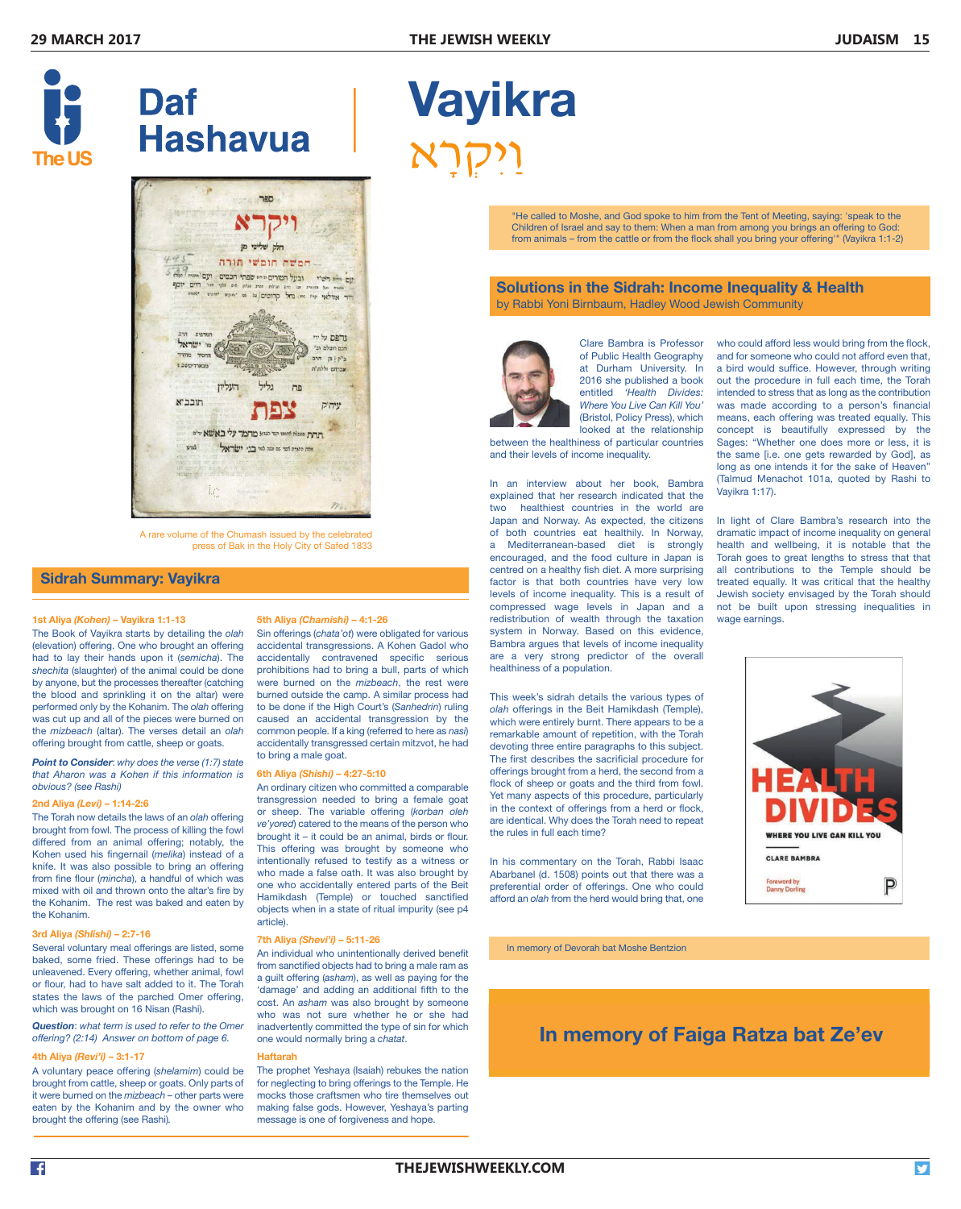Volume 29





A rare volume of the Chumash issued by the celebrated press of Bak in the Holy City of Safed 1833

 $\mathcal{H}$  . The called to  $\mathcal{H}$  is the Tent of Meeting, saying: 'speak to the Tent of Meeting, saying: 'speak to the Tent of Meeting, saying: 'speak to the Tent of Meeting, saying: 'speak to the Tent of Meeting, and the

## **Sidrah Summary: Vayikra**

#### **1st Aliya** *(Kohen)* **– Vayikra 1:1-13** 5th Aliya *(Chamishi)* – 4:1-26

The Book of Vayikra starts by detailing the *olah* (elevation) offering. One who brought an offering had to lay their hands upon it (*semicha*). The *shechita* (slaughter) of the animal could be done by anyone, but the processes thereafter (catching the blood and sprinkling it on the altar) were performed only by the Kohanim. The *olah* offering was cut up and all of the pieces were burned on the *mizbeach* (altar). The verses detail an *olah* offering brought from cattle, sheep or goats.

*Point to Consider*: *why does the verse (1:7) state that Aharon was a Kohen if this information is obvious? (see Rashi)*

#### **2nd Aliya** *(Levi)* **– 1:14-2:6**

The Torah now details the laws of an *olah* offering brought from fowl. The process of killing the fowl differed from an animal offering; notably, the Kohen used his fingernail (*melika*) instead of a knife. It was also possible to bring an offering from fine flour (*mincha*), a handful of which was mixed with oil and thrown onto the altar's fire by the Kohanim. The rest was baked and eaten by the Kohanim.

#### **3rd Aliya** *(Shlishi)* **– 2:7-16**

Several voluntary meal offerings are listed, some baked, some fried. These offerings had to be unleavened. Every offering, whether animal, fowl or flour, had to have salt added to it. The Torah states the laws of the parched Omer offering, which was brought on 16 Nisan (Rashi).

*Question*: *what term is used to refer to the Omer offering? (2:14) Answer on bottom of page 6.* 

#### **4th Aliya** *(Revi'i)* **– 3:1-17**

A voluntary peace offering (*shelamim*) could be brought from cattle, sheep or goats. Only parts of it were burned on the *mizbeach* – other parts were eaten by the Kohanim and by the owner who brought the offering (see Rashi)*.*

#### **5th Aliya** *(Chamishi)* **– 4:1-26**

Sin offerings (*chata'ot*) were obligated for various accidental transgressions. A Kohen Gadol who accidentally contravened specific serious prohibitions had to bring a bull, parts of which were burned on the *mizbeach*, the rest were burned outside the camp. A similar process had to be done if the High Court's (*Sanhedrin*) ruling caused an accidental transgression by the common people. If a king (referred to here as *nasi*) accidentally transgressed certain mitzvot, he had to bring a male goat.

#### **6th Aliya** *(Shishi)* **– 4:27-5:10**

Hamikdash (Temple) or touched sanctified objects when in a state of ritual impurity (see p4<br>article). An ordinary citizen who committed a comparable transgression needed to bring a female goat or sheep. The variable offering (*korban oleh ve'yored*) catered to the means of the person who brought it – it could be an animal, birds or flour. This offering was brought by someone who intentionally refused to testify as a witness or who made a false oath. It was also brought by Abarbanel (d. 1508) points of one who accidentally entered parts of the Beit article).

#### **7th Aliya** *(Shevi'i)* **– 5:11-26**

An individual who unintentionally derived benefit . These Offerings had to be from sanctified objects had to bring a male ram as<br>offering, whether animal fowl offering, when critical and *a* guilt offering (*asham*), as well as paying for the<br>conditional and say to the more in the man from a man from a man from a man from a man from a man from a man from a 'damage' and adding an additional fifth to the From a from a from a strong term and the cattle or from the flock shall you be call you be called the cattle or f<br>From the flock shall you be called you be called you be called you be called you be called your offering. who was not sure whether he or she had inadvertently committed the type of sin for which one would normally bring a *chatat*.

#### **Haftarah**

Produced by US Living & Learning together with the Rabbinical Council of the United Synagogue

 $\overline{\phantom{a}}$  rare volume of the Chumash issued by the Chumash issued by the celebrated by the celebrated by the celebrated by the celebrated by the celebrated by the celebrated by the celebrated by the celebrated by the ce The prophet Yeshaya (Isaiah) rebukes the nation for neglecting to bring offerings to the Temple. He mocks those craftsmen who tire themselves out making false gods. However, Yeshaya's parting message is one of forgiveness and hope.

# <u>Vavikra bashkan shekara t</u> Shabbat ends London 8.22pm Vayikra ויקרא

1 April 2017 - An an am Dùbhlachd an Dùbhlachd an Dùbhlachd an Dùbhlachd an Dùbhlachd an Dùbhlachd an Dùbhlach<br>1 An Dùbhlachd an Dùbhlachd an Dùbhlachd an Dùbhlachd an Dùbhlachd an Dùbhlachd an Dùbhlachd an Dùbhlachd an D

**In memory of Faiga Ratza bat Ze'ev**  from animals – from the cattle or from the flock shall you bring your offering'" (Vayikra 1:1-2) "He called to Moshe, and God spoke to him from the Tent of Meeting, saying: 'speak to the Children of Israel and say to them: When a man from among you brings an offering to God:

### **Solutions in the Sidrah: Income Inequality & Health**  by Rabbi Yoni Birnbaum, Hadley Wood Jewish Community **Side Income Income Income Income Income Income Income Inco**

by Rabbi Yoni Birnbaum, Hadley Wood Jewish Community



Clare Bambra is Professor of Public Health Geography a at Durham University. In a 2016 she published a book c entitled 'Health Divides: i **Where You Live Can Kill You'** (Bristol, Policy Press), which r looked at the relationship or

between the healthiness of particular countries ( and their levels of income inequality. The health is the t

In an interview about her book, Bambra explained that her research indicated that the two healthiest countries in the world are Japan and Norway. As expected, the citizens In of both countries eat healthily. In Norway, d a Mediterranean-based diet is strongly h encouraged, and the food culture in Japan is  $\Box$ centred on a healthy fish diet. A more surprising a factor is that both countries have very low t levels of income inequality. This is a result of  $\bigcup$ compressed wage levels in Japan and a r redistribution of wealth through the taxation  $\sqrt{ }$ system in Norway. Based on this evidence, Bambra argues that levels of income inequality are a very strong predictor of the overall healthiness of a population.

This week's sidrah details the various types of olah offerings in the Beit Hamikdash (Temple), which were entirely burnt. There appears to be a remarkable amount of repetition, with the Torah devoting three entire paragraphs to this subject. The first describes the sacrificial procedure for offerings brought from a herd, the second from a flock of sheep or goats and the third from fowl. Yet many aspects of this procedure, particularly in the context of offerings from a herd or flock, are identical. Why does the Torah need to repeat the rules in full each time?

afford an *olah* from the herd would bring that, one In his commentary on the Torah, Rabbi Isaac Abarbanel (d. 1508) points out that there was a ally entered parts of the Beit breferential order of offerings. One who could ally expressed approximately for

**Artscroll p.544 In memory of Devorah bat Moshe Bentzion 3000 h Soncino p.605 in the sonce of the sonce of the s<br>The sonce of the sonce of the sonce of the sonce of the sonce of the sonce of the sonce of the sonce of the s** 

who could afford less would bring from the flock, and for someone who could not afford even that, a bird would suffice. However, through writing out the procedure in full each time, the Torah intended to stress that as long as the contribution was made according to a person's financial means, each offering was treated equally. This concept is beautifully expressed by the Sages: "Whether one does more or less, it is the same [i.e. one gets rewarded by God], as long as one intends it for the sake of Heaven" (Talmud Menachot 101a, quoted by Rashi to Vayikra 1:17).

In light of Clare Bambra's research into the dramatic impact of income inequality on general health and wellbeing, it is notable that the Torah goes to great lengths to stress that that all contributions to the Temple should be treated equally. It was critical that the healthy Jewish society envisaged by the Torah should not be built upon stressing inequalities in wage earnings. **Example 20** in the built upon stressing in the stressing inequalities in the stressing inequalities in the stressing inequalities in the stressing inequalities in the stressing inequalities in the stressing



# **In memory of Faiga Ratza bat Ze'ev**

In memory of Devorah bat Moshe Bentzion 3

1